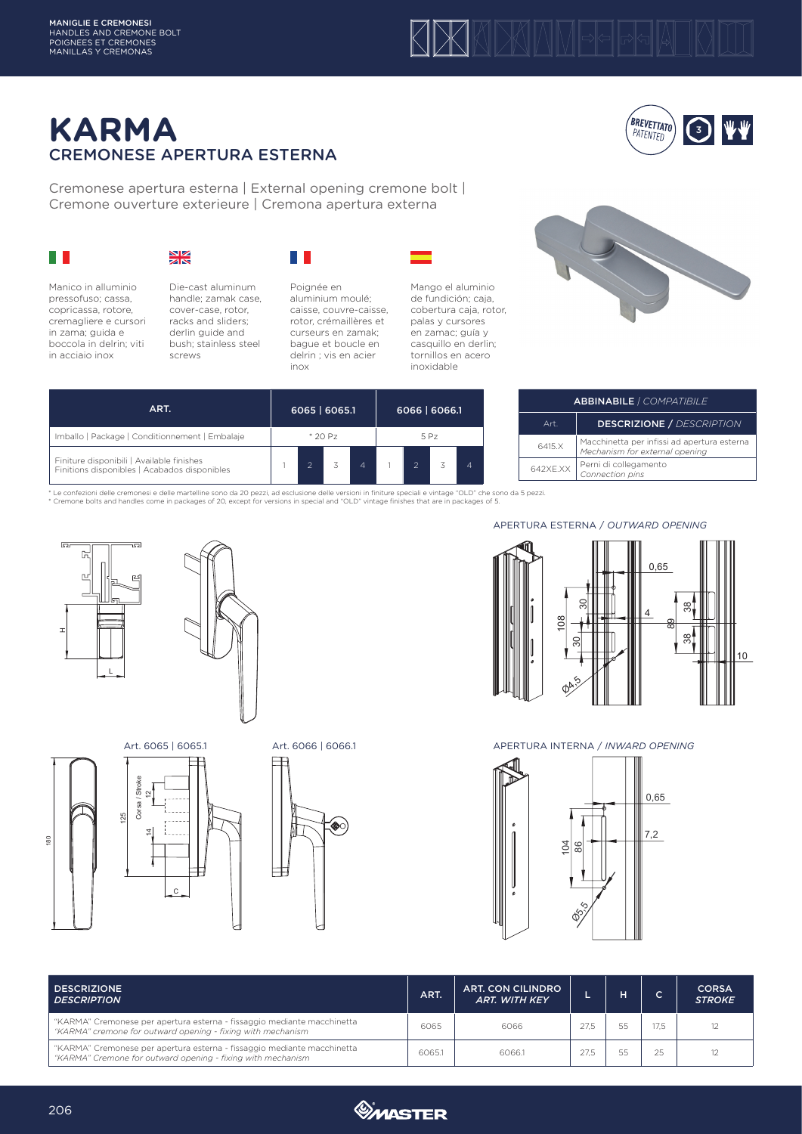

## **KARMA** CREMONESE APERTURA ESTERNA

Cremonese apertura esterna | External opening cremone bolt | Cremone ouverture exterieure | Cremona apertura externa

|  | <b>Contract Contract Contract Contract Contract Contract Contract Contract Contract Contract Contract Contract Co</b> |
|--|-----------------------------------------------------------------------------------------------------------------------|
|  |                                                                                                                       |
|  |                                                                                                                       |
|  | <b>Contract Contract Contract Contract Contract Contract Contract Contract Contract Contract Contract Contract Co</b> |

## $rac{N}{2K}$

Manico in alluminio pressofuso; cassa, copricassa, rotore, cremagliere e cursori in zama; guida e boccola in delrin; viti in acciaio inox



Die-cast aluminum handle; zamak case, cover-case, rotor, racks and sliders; derlin guide and bush; stainless steel screws



Poignée en aluminium moulé; caisse, couvre-caisse, rotor, crémaillères et curseurs en zamak; bague et boucle en delrin ; vis en acier inox





**BREVETTATO** PATENTED

 $\left( \frac{1}{3}\right)$ 

ABBINABILE *| COMPATIBILE* Art. DESCRIZIONE / *DESCRIPTION* 6415.X Macchinetta per infissi ad apertura esterna *Mechanism for external opening*

| ART.                                                                                      |         |  | 6065   6065.1 |   |      |               | 6066   6066.1 |  |  |  |
|-------------------------------------------------------------------------------------------|---------|--|---------------|---|------|---------------|---------------|--|--|--|
| Imballo   Package   Conditionnement   Embalaje                                            | * 20 Pz |  |               |   | 5 Pz |               |               |  |  |  |
| Finiture disponibili   Available finishes<br>Finitions disponibles   Acabados disponibles |         |  |               | 4 |      | $\mathcal{P}$ |               |  |  |  |

\* Le confezioni delle cremonesi e delle martelline sono da 20 pezzi, ad esclusione delle versioni in finiture speciali e vintage "OLD" che sono da 5 pezzi.<br>\* Cremone bolts and handles come in packages of 20, except for ver











APERTURA ESTERNA / *OUTWARD OPENING*

642XE.XX Perni di collegamento *Connection pins*



Art. 6065 | 6065.1 Art. 6066 | 6066.1 APERTURA INTERNA / *INWARD OPENING*



| <b>DESCRIZIONE</b><br><b>DESCRIPTION</b>                                                                                               | <b>ART.</b> | <b>ART. CON CILINDRO</b><br><b>ART. WITH KEY</b> |      |      | <b>CORSA</b><br><b>STROKE</b> |
|----------------------------------------------------------------------------------------------------------------------------------------|-------------|--------------------------------------------------|------|------|-------------------------------|
| "KARMA" Cremonese per apertura esterna - fissaggio mediante macchinetta<br>"KARMA" cremone for outward opening - fixing with mechanism | 6065        | 6066                                             | 27.5 | 17.5 |                               |
| "KARMA" Cremonese per apertura esterna - fissaggio mediante macchinetta<br>"KARMA" Cremone for outward opening - fixing with mechanism | 6065.1      | 6066.1                                           | 27.5 | 25   |                               |